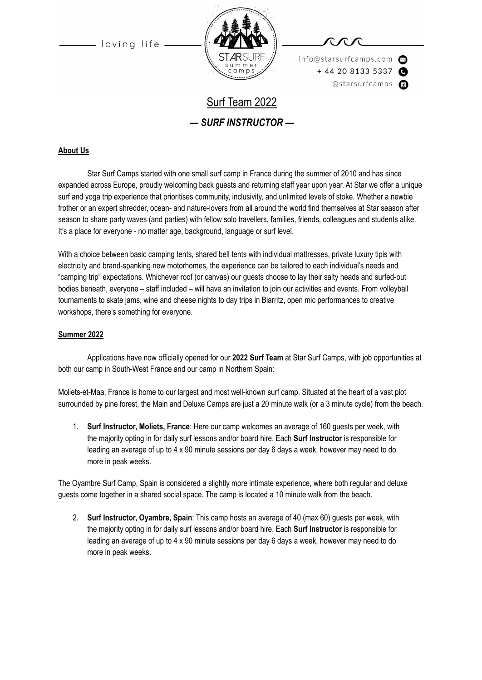loving life



info@starsurfcamps.com  $+442081335337$ @starsurfcamps @

# Surf Team 2022 *— SURF INSTRUCTOR —*

# **About Us**

Star Surf Camps started with one small surf camp in France during the summer of 2010 and has since expanded across Europe, proudly welcoming back guests and returning staff year upon year. At Star we offer a unique surf and yoga trip experience that prioritises community, inclusivity, and unlimited levels of stoke. Whether a newbie frother or an expert shredder, ocean- and nature-lovers from all around the world find themselves at Star season after season to share party waves (and parties) with fellow solo travellers, families, friends, colleagues and students alike. It's a place for everyone - no matter age, background, language or surf level.

With a choice between basic camping tents, shared bell tents with individual mattresses, private luxury tipis with electricity and brand-spanking new motorhomes, the experience can be tailored to each individual's needs and "camping trip" expectations. Whichever roof (or canvas) our guests choose to lay their salty heads and surfed-out bodies beneath, everyone – staff included – will have an invitation to join our activities and events. From volleyball tournaments to skate jams, wine and cheese nights to day trips in Biarritz, open mic performances to creative workshops, there's something for everyone.

#### **Summer 2022**

Applications have now officially opened for our **2022 Surf Team** at Star Surf Camps, with job opportunities at both our camp in South-West France and our camp in Northern Spain:

Moliets-et-Maa, France is home to our largest and most well-known surf camp. Situated at the heart of a vast plot surrounded by pine forest, the Main and Deluxe Camps are just a 20 minute walk (or a 3 minute cycle) from the beach.

1. **Surf Instructor, Moliets, France**: Here our camp welcomes an average of 160 guests per week, with the majority opting in for daily surf lessons and/or board hire. Each **Surf Instructor** is responsible for leading an average of up to 4 x 90 minute sessions per day 6 days a week, however may need to do more in peak weeks.

The Oyambre Surf Camp, Spain is considered a slightly more intimate experience, where both regular and deluxe guests come together in a shared social space. The camp is located a 10 minute walk from the beach.

2. **Surf Instructor, Oyambre, Spain**: This camp hosts an average of 40 (max 60) guests per week, with the majority opting in for daily surf lessons and/or board hire. Each **Surf Instructor** is responsible for leading an average of up to 4 x 90 minute sessions per day 6 days a week, however may need to do more in peak weeks.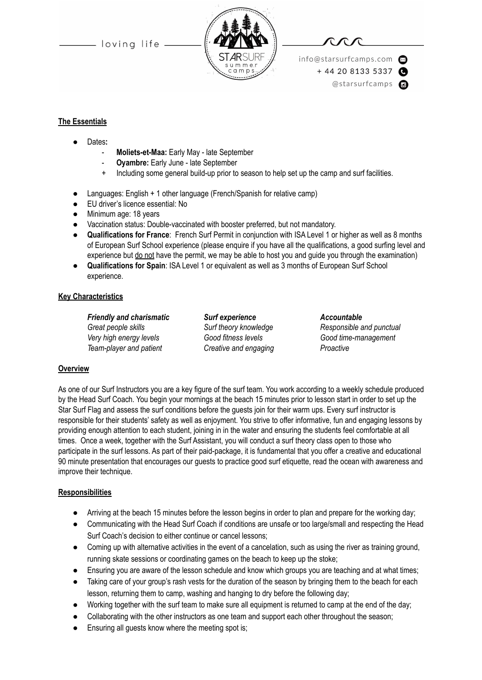- loving life -



info@starsurfcamps.com  $+442081335337$ @starsurfcamps @

#### **The Essentials**

- Dates:
	- **Moliets-et-Maa:** Early May late September
	- **Oyambre:** Early June late September
	- + Including some general build-up prior to season to help set up the camp and surf facilities.
- Languages: English + 1 other language (French/Spanish for relative camp)
- EU driver's licence essential: No
- Minimum age: 18 years
- Vaccination status: Double-vaccinated with booster preferred, but not mandatory.
- **Qualifications for France**: French Surf Permit in conjunction with ISA Level 1 or higher as well as 8 months of European Surf School experience (please enquire if you have all the qualifications, a good surfing level and experience but do not have the permit, we may be able to host you and quide you through the examination)
- **Qualifications for Spain**: ISA Level 1 or equivalent as well as 3 months of European Surf School experience.

#### **Key Characteristics**

*Friendly and charismatic Surf experience Accountable Great people skills Surf theory knowledge Responsible and punctual Very high energy levels Good fitness levels Good time-management Team-player and patient Creative and engaging Proactive*

# **Overview**

As one of our Surf Instructors you are a key figure of the surf team. You work according to a weekly schedule produced by the Head Surf Coach. You begin your mornings at the beach 15 minutes prior to lesson start in order to set up the Star Surf Flag and assess the surf conditions before the guests join for their warm ups. Every surf instructor is responsible for their students' safety as well as enjoyment. You strive to offer informative, fun and engaging lessons by providing enough attention to each student, joining in in the water and ensuring the students feel comfortable at all times. Once a week, together with the Surf Assistant, you will conduct a surf theory class open to those who participate in the surf lessons. As part of their paid-package, it is fundamental that you offer a creative and educational 90 minute presentation that encourages our guests to practice good surf etiquette, read the ocean with awareness and improve their technique.

#### **Responsibilities**

- Arriving at the beach 15 minutes before the lesson begins in order to plan and prepare for the working day;
- Communicating with the Head Surf Coach if conditions are unsafe or too large/small and respecting the Head Surf Coach's decision to either continue or cancel lessons;
- Coming up with alternative activities in the event of a cancelation, such as using the river as training ground, running skate sessions or coordinating games on the beach to keep up the stoke;
- Ensuring you are aware of the lesson schedule and know which groups you are teaching and at what times;
- Taking care of your group's rash vests for the duration of the season by bringing them to the beach for each lesson, returning them to camp, washing and hanging to dry before the following day;
- Working together with the surf team to make sure all equipment is returned to camp at the end of the day;
- Collaborating with the other instructors as one team and support each other throughout the season;
- Ensuring all guests know where the meeting spot is;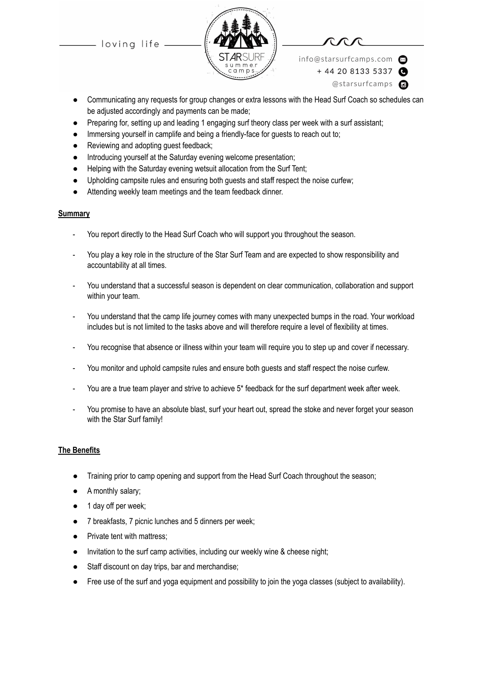loving life





info@starsurfcamps.com  $+442081335337$ 

@starsurfcamps @

- Communicating any requests for group changes or extra lessons with the Head Surf Coach so schedules can be adjusted accordingly and payments can be made;
- Preparing for, setting up and leading 1 engaging surf theory class per week with a surf assistant;
- Immersing yourself in camplife and being a friendly-face for guests to reach out to;
- Reviewing and adopting quest feedback;
- Introducing yourself at the Saturday evening welcome presentation;
- Helping with the Saturday evening wetsuit allocation from the Surf Tent;
- Upholding campsite rules and ensuring both guests and staff respect the noise curfew;
- Attending weekly team meetings and the team feedback dinner.

#### **Summary**

- You report directly to the Head Surf Coach who will support you throughout the season.
- You play a key role in the structure of the Star Surf Team and are expected to show responsibility and accountability at all times.
- You understand that a successful season is dependent on clear communication, collaboration and support within your team.
- You understand that the camp life journey comes with many unexpected bumps in the road. Your workload includes but is not limited to the tasks above and will therefore require a level of flexibility at times.
- You recognise that absence or illness within your team will require you to step up and cover if necessary.
- You monitor and uphold campsite rules and ensure both guests and staff respect the noise curfew.
- You are a true team player and strive to achieve 5\* feedback for the surf department week after week.
- You promise to have an absolute blast, surf your heart out, spread the stoke and never forget your season with the Star Surf family!

# **The Benefits**

- Training prior to camp opening and support from the Head Surf Coach throughout the season;
- A monthly salary;
- 1 day off per week;
- 7 breakfasts, 7 picnic lunches and 5 dinners per week;
- Private tent with mattress;
- Invitation to the surf camp activities, including our weekly wine & cheese night;
- Staff discount on day trips, bar and merchandise;
- Free use of the surf and yoga equipment and possibility to join the yoga classes (subject to availability).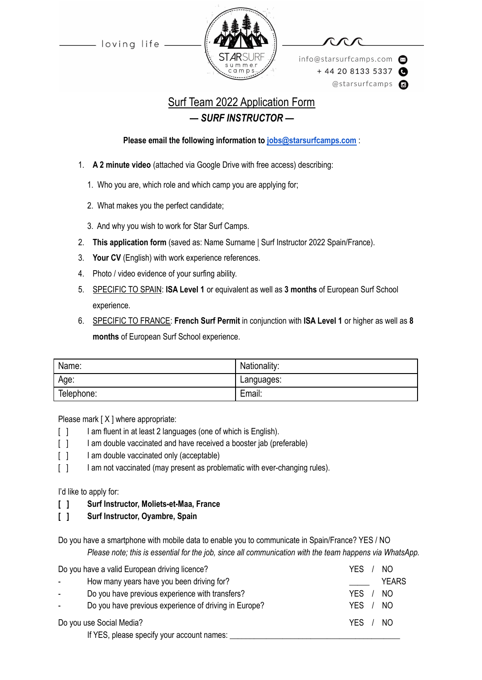loving life



info@starsurfcamps.com  $+442081335337$ @starsurfcamps @

# Surf Team 2022 Application Form *— SURF INSTRUCTOR —*

**Please email the following information to [jobs@starsurfcamps.com](mailto:jobs@starsurfcamps.com)** :

- 1. **A 2 minute video** (attached via Google Drive with free access) describing:
	- 1️. Who you are, which role and which camp you are applying for;
	- 2. What makes you the perfect candidate;
	- 3️. And why you wish to work for Star Surf Camps.
- 2. **This application form** (saved as: Name Surname | Surf Instructor 2022 Spain/France).
- 3. **Your CV** (English) with work experience references.
- 4. Photo / video evidence of your surfing ability.
- 5. SPECIFIC TO SPAIN: **ISA Level 1** or equivalent as well as **3 months** of European Surf School experience.
- 6. SPECIFIC TO FRANCE: **French Surf Permit** in conjunction with **ISA Level 1** or higher as well as **8 months** of European Surf School experience.

| Name:      | Nationality: |
|------------|--------------|
| Age:       | Languages:   |
| Telephone: | Email:       |

Please mark [X ] where appropriate:

- [ ] I am fluent in at least 2 languages (one of which is English).
- [ ] I am double vaccinated and have received a booster jab (preferable)
- [ ] I am double vaccinated only (acceptable)
- [ ] I am not vaccinated (may present as problematic with ever-changing rules).

I'd like to apply for:

**[ ] Surf Instructor, Moliets-et-Maa, France**

**[ ] Surf Instructor, Oyambre, Spain**

Do you have a smartphone with mobile data to enable you to communicate in Spain/France? YES / NO *Please note; this is essential for the job, since all communication with the team happens via WhatsApp.*

| Do you have a valid European driving licence? |                                                       | YES.<br>NO.  |
|-----------------------------------------------|-------------------------------------------------------|--------------|
| $\overline{\phantom{a}}$                      | How many years have you been driving for?             | <b>YEARS</b> |
| $\sim$                                        | Do you have previous experience with transfers?       | NO.<br>YFS.  |
| $\sim$                                        | Do you have previous experience of driving in Europe? | -NO<br>YFS.  |
| Do you use Social Media?                      |                                                       | YES / NO     |
|                                               | If YES, please specify your account names:            |              |